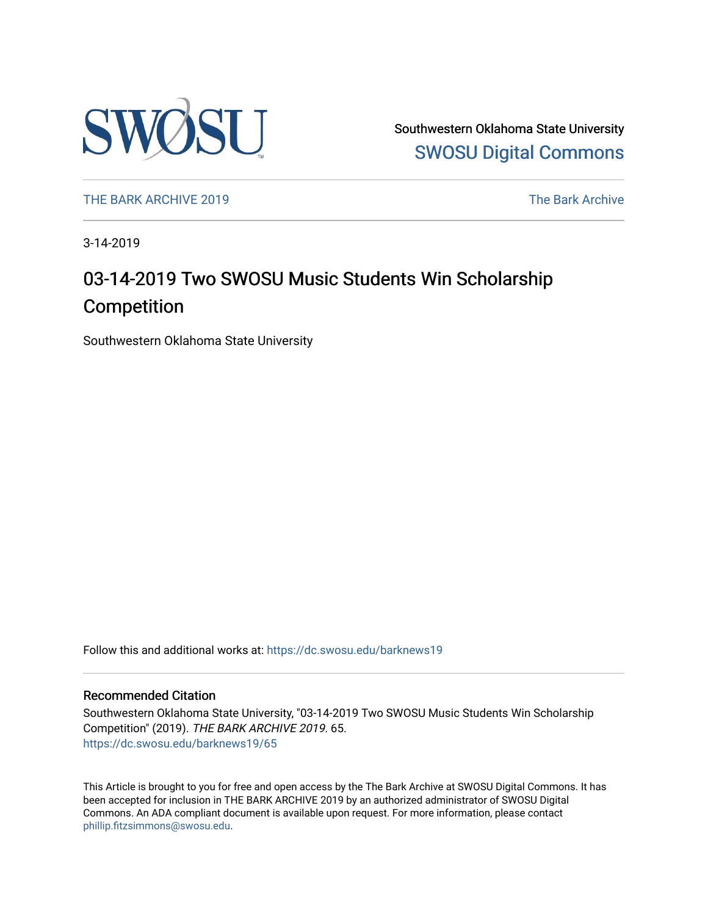

Southwestern Oklahoma State University [SWOSU Digital Commons](https://dc.swosu.edu/) 

[THE BARK ARCHIVE 2019](https://dc.swosu.edu/barknews19) The Bark Archive

3-14-2019

### 03-14-2019 Two SWOSU Music Students Win Scholarship **Competition**

Southwestern Oklahoma State University

Follow this and additional works at: [https://dc.swosu.edu/barknews19](https://dc.swosu.edu/barknews19?utm_source=dc.swosu.edu%2Fbarknews19%2F65&utm_medium=PDF&utm_campaign=PDFCoverPages)

#### Recommended Citation

Southwestern Oklahoma State University, "03-14-2019 Two SWOSU Music Students Win Scholarship Competition" (2019). THE BARK ARCHIVE 2019. 65. [https://dc.swosu.edu/barknews19/65](https://dc.swosu.edu/barknews19/65?utm_source=dc.swosu.edu%2Fbarknews19%2F65&utm_medium=PDF&utm_campaign=PDFCoverPages) 

This Article is brought to you for free and open access by the The Bark Archive at SWOSU Digital Commons. It has been accepted for inclusion in THE BARK ARCHIVE 2019 by an authorized administrator of SWOSU Digital Commons. An ADA compliant document is available upon request. For more information, please contact [phillip.fitzsimmons@swosu.edu](mailto:phillip.fitzsimmons@swosu.edu).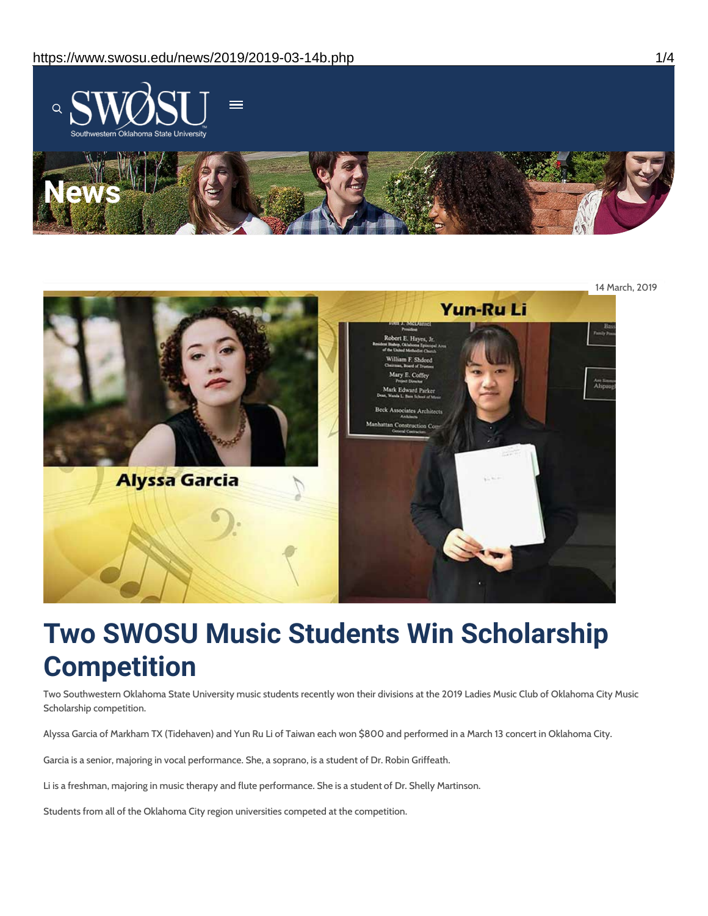



# **Two SWOSU Music Students Win Scholarship Competition**

Two Southwestern Oklahoma State University music students recently won their divisions at the 2019 Ladies Music Club of Oklahoma City Music Scholarship competition.

Alyssa Garcia of Markham TX (Tidehaven) and Yun Ru Li of Taiwan each won \$800 and performed in a March 13 concert in Oklahoma City.

Garcia is a senior, majoring in vocal performance. She, a soprano, is a student of Dr. Robin Griffeath.

Li is a freshman, majoring in music therapy and flute performance. She is a student of Dr. Shelly Martinson.

Students from all of the Oklahoma City region universities competed at the competition.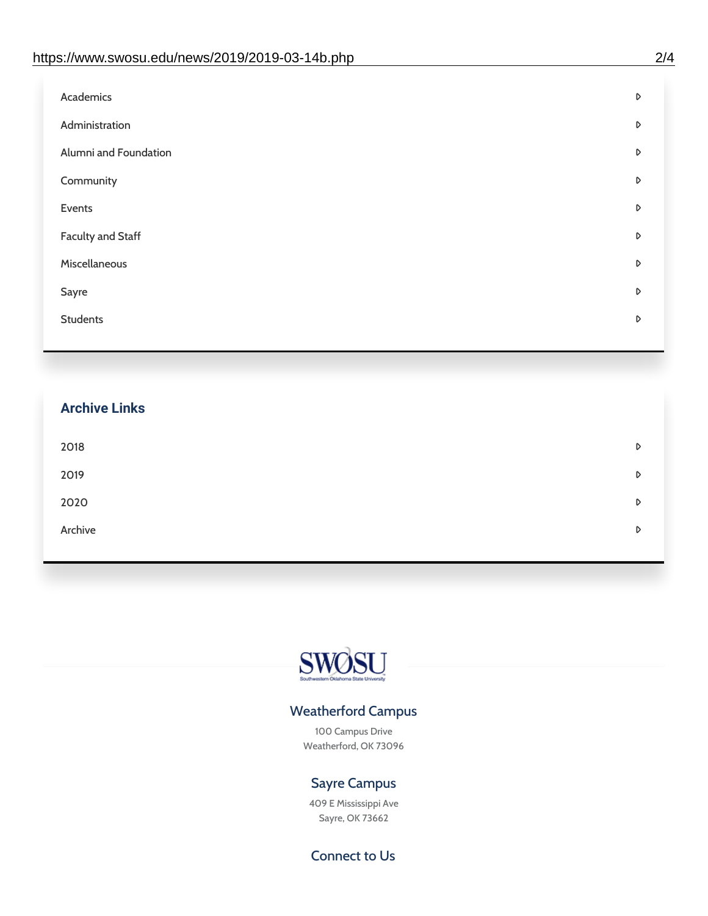| D |
|---|
| D |
| D |
| D |
| D |
| D |
| D |
| D |
| D |
|   |

## **Archive Links**  $2018$  $2019$ [2020](https://www.swosu.edu/news/2020/index.php)  $\bullet$ [Archive](https://dc.swosu.edu/bark/) **Archive Archive Archive Archive Archive** Archive Archive Archive Archive Archive Archive Archive Archive



### Weatherford Campus

100 Campus Drive Weatherford, OK 73096

### Sayre Campus

409 E Mississippi Ave Sayre, OK 73662

Connect to Us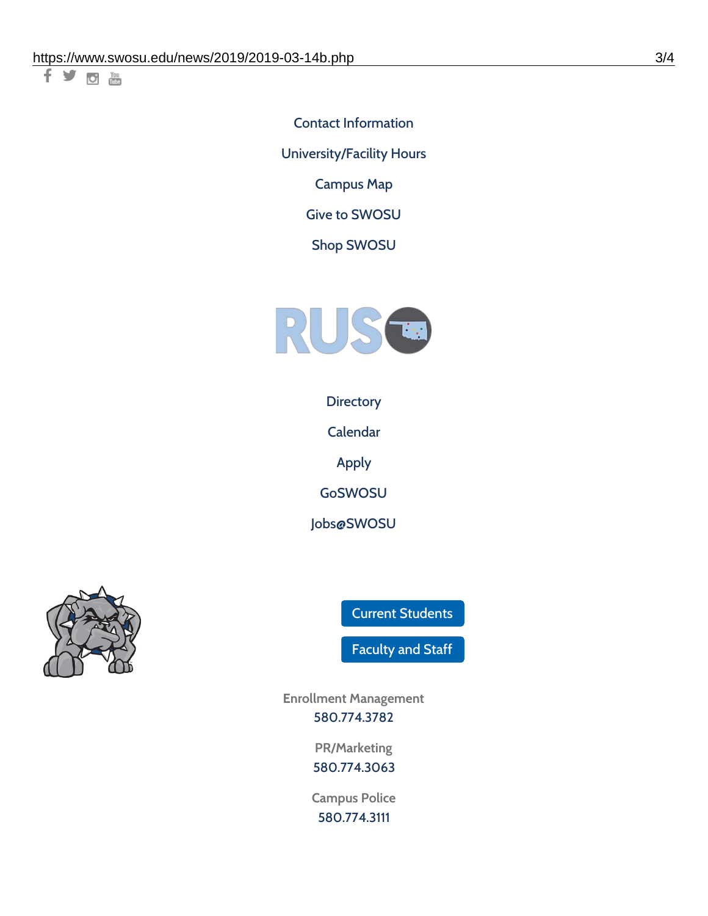千岁回调

Contact [Information](https://www.swosu.edu/about/contact.php) [University/Facility](https://www.swosu.edu/about/operating-hours.php) Hours [Campus](https://map.concept3d.com/?id=768#!ct/10964,10214,10213,10212,10205,10204,10203,10202,10136,10129,10128,0,31226,10130,10201,10641,0) Map

Give to [SWOSU](https://standingfirmly.com/donate)

Shop [SWOSU](https://shopswosu.merchorders.com/)



**[Directory](https://www.swosu.edu/directory/index.php)** 

[Calendar](https://eventpublisher.dudesolutions.com/swosu/)

[Apply](https://www.swosu.edu/admissions/apply-to-swosu.php)

[GoSWOSU](https://qlsso.quicklaunchsso.com/home/1267)

[Jobs@SWOSU](https://swosu.csod.com/ux/ats/careersite/1/home?c=swosu)



Current [Students](https://bulldog.swosu.edu/index.php)

[Faculty](https://bulldog.swosu.edu/faculty-staff/index.php) and Staff

**Enrollment Management** [580.774.3782](tel:5807743782)

> **PR/Marketing** [580.774.3063](tel:5807743063)

**Campus Police** [580.774.3111](tel:5807743111)